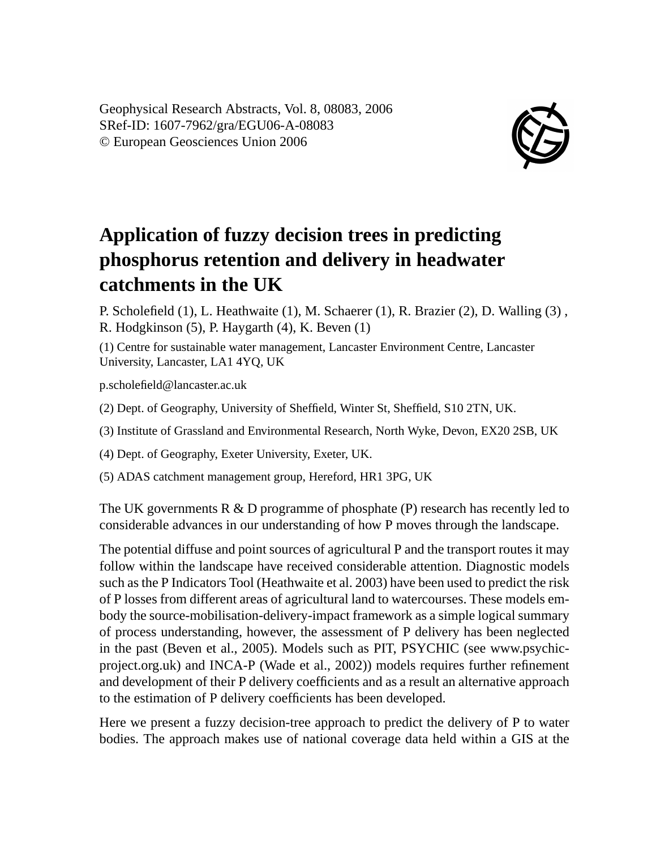Geophysical Research Abstracts, Vol. 8, 08083, 2006 SRef-ID: 1607-7962/gra/EGU06-A-08083 © European Geosciences Union 2006



## **Application of fuzzy decision trees in predicting phosphorus retention and delivery in headwater catchments in the UK**

P. Scholefield (1), L. Heathwaite (1), M. Schaerer (1), R. Brazier (2), D. Walling (3) , R. Hodgkinson (5), P. Haygarth (4), K. Beven (1)

(1) Centre for sustainable water management, Lancaster Environment Centre, Lancaster University, Lancaster, LA1 4YQ, UK

p.scholefield@lancaster.ac.uk

(2) Dept. of Geography, University of Sheffield, Winter St, Sheffield, S10 2TN, UK.

(3) Institute of Grassland and Environmental Research, North Wyke, Devon, EX20 2SB, UK

(4) Dept. of Geography, Exeter University, Exeter, UK.

(5) ADAS catchment management group, Hereford, HR1 3PG, UK

The UK governments  $R \& D$  programme of phosphate (P) research has recently led to considerable advances in our understanding of how P moves through the landscape.

The potential diffuse and point sources of agricultural P and the transport routes it may follow within the landscape have received considerable attention. Diagnostic models such as the P Indicators Tool (Heathwaite et al. 2003) have been used to predict the risk of P losses from different areas of agricultural land to watercourses. These models embody the source-mobilisation-delivery-impact framework as a simple logical summary of process understanding, however, the assessment of P delivery has been neglected in the past (Beven et al., 2005). Models such as PIT, PSYCHIC (see www.psychicproject.org.uk) and INCA-P (Wade et al., 2002)) models requires further refinement and development of their P delivery coefficients and as a result an alternative approach to the estimation of P delivery coefficients has been developed.

Here we present a fuzzy decision-tree approach to predict the delivery of P to water bodies. The approach makes use of national coverage data held within a GIS at the